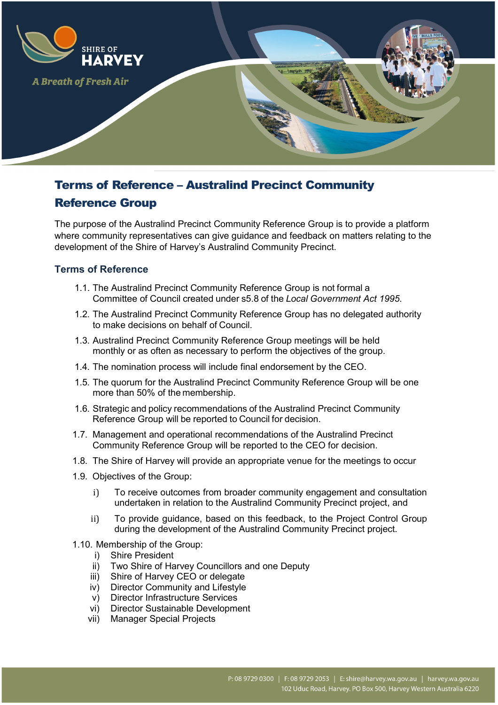

# Terms of Reference – Australind Precinct Community

# Reference Group

The purpose of the Australind Precinct Community Reference Group is to provide a platform where community representatives can give guidance and feedback on matters relating to the development of the Shire of Harvey's Australind Community Precinct.

#### **Terms of Reference**

- 1.1. The Australind Precinct Community Reference Group is not formal a Committee of Council created under s5.8 of the *Local Government Act 1995.*
- 1.2. The Australind Precinct Community Reference Group has no delegated authority to make decisions on behalf of Council.
- 1.3. Australind Precinct Community Reference Group meetings will be held monthly or as often as necessary to perform the objectives of the group.
- 1.4. The nomination process will include final endorsement by the CEO.
- 1.5. The quorum for the Australind Precinct Community Reference Group will be one more than 50% of the membership.
- 1.6. Strategic and policy recommendations of the Australind Precinct Community Reference Group will be reported to Council for decision.
- 1.7. Management and operational recommendations of the Australind Precinct Community Reference Group will be reported to the CEO for decision.
- 1.8. The Shire of Harvey will provide an appropriate venue for the meetings to occur
- 1.9. Objectives of the Group:
	- i) To receive outcomes from broader community engagement and consultation undertaken in relation to the Australind Community Precinct project, and
	- ii) To provide guidance, based on this feedback, to the Project Control Group during the development of the Australind Community Precinct project.
- 1.10. Membership of the Group:
	- i) Shire President
	- ii) Two Shire of Harvey Councillors and one Deputy
	- iii) Shire of Harvey CEO or delegate
	- iv) Director Community and Lifestyle
	- v) Director Infrastructure Services
	- vi) Director Sustainable Development
	- vii) Manager Special Projects